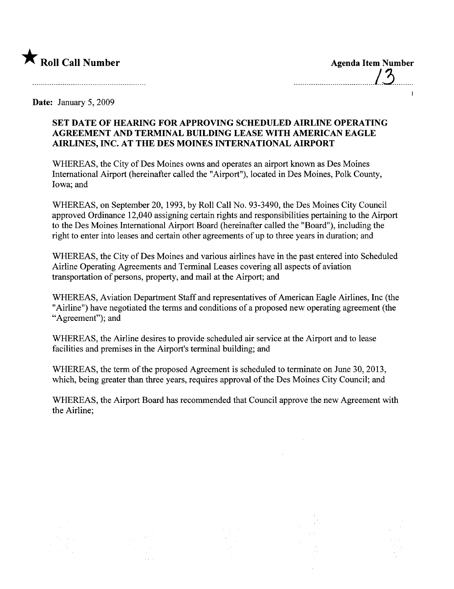

......\_........................\_....../~.........

 $\mathbf{I}$ 

Date: January 5, 2009

## SET DATE OF HEARING FOR APPROVING SCHEDULED AIRLINE OPERATING AGREEMENT AND TERMINAL BUILDING LEASE WITH AMERICAN EAGLE AIRLINES, INC. AT THE DES MOINES INTERNATIONAL AIRPORT

WHEREAS, the City of Des Moines owns and operates an airport known as Des Moines International Airport (hereinafter called the "Airport"), located in Des Moines, Polk County, Iowa; and

WHEREAS, on September 20, 1993, by Roll Call No. 93-3490, the Des Moines City Council approved Ordinance 12,040 assigning certain rights and responsibilities pertaining to the Airport to the Des Moines International Airport Board (hereinafter called the "Board"), including the right to enter into leases and certain other agreements of up to three years in duration; and

WHEREAS, the City of Des Moines and various airlines have in the past entered into Scheduled Airline Operating Agreements and Terminal Leases covering all aspects of aviation transportation of persons, property, and mail at the Airport; and

WHEREAS, Aviation Department Staff and representatives of American Eagle Airlines, Inc (the "Airline") have negotiated the terms and conditions of a proposed new operating agreement (the "Agreement"); and

WHEREAS, the Airline desires to provide scheduled air service at the Airport and to lease facilities and premises in the Airport's terminal building; and

WHEREAS, the term of the proposed Agreement is scheduled to terminate on June 30, 2013, which, being greater than three years, requires approval of the Des Moines City Council; and

WHEREAS, the Airport Board has recommended that Council approve the new Agreement with the Airline;